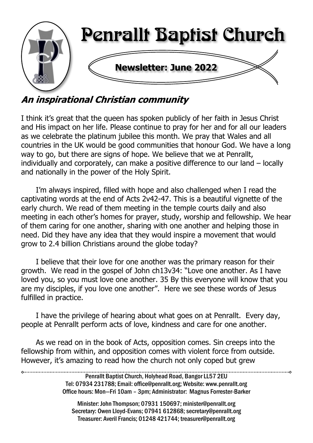

# An inspirational Christian community

I think it's great that the queen has spoken publicly of her faith in Jesus Christ and His impact on her life. Please continue to pray for her and for all our leaders as we celebrate the platinum jubilee this month. We pray that Wales and all countries in the UK would be good communities that honour God. We have a long way to go, but there are signs of hope. We believe that we at Penrallt, individually and corporately, can make a positive difference to our land – locally and nationally in the power of the Holy Spirit.

I'm always inspired, filled with hope and also challenged when I read the captivating words at the end of Acts 2v42-47. This is a beautiful vignette of the early church. We read of them meeting in the temple courts daily and also meeting in each other's homes for prayer, study, worship and fellowship. We hear of them caring for one another, sharing with one another and helping those in need. Did they have any idea that they would inspire a movement that would grow to 2.4 billion Christians around the globe today?

I believe that their love for one another was the primary reason for their growth. We read in the gospel of John ch13v34: "Love one another. As I have loved you, so you must love one another. 35 By this everyone will know that you are my disciples, if you love one another". Here we see these words of Jesus fulfilled in practice.

I have the privilege of hearing about what goes on at Penrallt. Every day, people at Penrallt perform acts of love, kindness and care for one another.

As we read on in the book of Acts, opposition comes. Sin creeps into the fellowship from within, and opposition comes with violent force from outside. However, it's amazing to read how the church not only coped but grew

> Penrallt Baptist Church, Holyhead Road, Bangor LL57 2EU Tel: 07934 231788; Email: office@penrallt.org; Website: www.penrallt.org Office hours: Mon—Fri 10am – 3pm; Administrator: Magnus Forrester-Barker

Minister: John Thompson; 07931 150697; minister@penrallt.org Secretary: Owen Lloyd-Evans; 07941 612868; secretary@penrallt.org Treasurer: Averil Francis; 01248 421744; treasurer@penrallt.org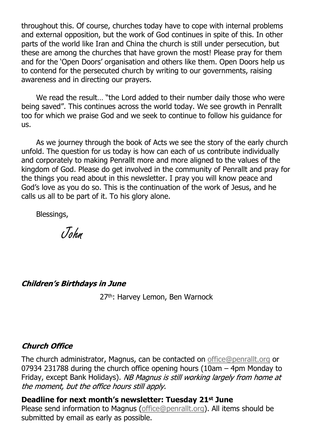throughout this. Of course, churches today have to cope with internal problems and external opposition, but the work of God continues in spite of this. In other parts of the world like Iran and China the church is still under persecution, but these are among the churches that have grown the most! Please pray for them and for the 'Open Doors' organisation and others like them. Open Doors help us to contend for the persecuted church by writing to our governments, raising awareness and in directing our prayers.

We read the result… "the Lord added to their number daily those who were being saved". This continues across the world today. We see growth in Penrallt too for which we praise God and we seek to continue to follow his guidance for us.

As we journey through the book of Acts we see the story of the early church unfold. The question for us today is how can each of us contribute individually and corporately to making Penrallt more and more aligned to the values of the kingdom of God. Please do get involved in the community of Penrallt and pray for the things you read about in this newsletter. I pray you will know peace and God's love as you do so. This is the continuation of the work of Jesus, and he calls us all to be part of it. To his glory alone.

Blessings,

John

#### **Children's Birthdays in June**

27<sup>th</sup>: Harvey Lemon, Ben Warnock

#### **Church Office**

The church administrator, Magnus, can be contacted on [office@penrallt.org](mailto:office@penrallt.org) or 07934 231788 during the church office opening hours (10am – 4pm Monday to Friday, except Bank Holidays). NB Magnus is still working largely from home at the moment, but the office hours still apply.

#### **Deadline for next month's newsletter: Tuesday 21st June**

Please send information to Magnus [\(office@penrallt.org\)](mailto:office@penrallt.org). All items should be submitted by email as early as possible.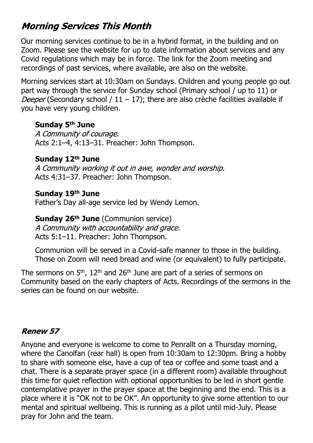## **Morning Services This Month**

Our morning services continue to be in a hybrid format, in the building and on Zoom. Please see the website for up to date information about services and any Covid regulations which may be in force. The link for the Zoom meeting and recordings of past services, where available, are also on the website.

Morning services start at 10:30am on Sundays. Children and young people go out part way through the service for Sunday school (Primary school / up to 11) or Deeper (Secondary school /  $11 - 17$ ); there are also crèche facilities available if you have very young children.

#### **Sunday 5th June**

A Community of courage. Acts 2:1–4, 4:13–31. Preacher: John Thompson.

#### **Sunday 12th June**

A Community working it out in awe, wonder and worship. Acts 4:31–37. Preacher: John Thompson.

#### **Sunday 19th June**

Father's Day all-age service led by Wendy Lemon.

#### **Sunday 26th June** (Communion service)

A Community with accountability and grace. Acts 5:1–11. Preacher: John Thompson.

Communion will be served in a Covid-safe manner to those in the building. Those on Zoom will need bread and wine (or equivalent) to fully participate.

The sermons on 5<sup>th</sup>, 12<sup>th</sup> and 26<sup>th</sup> June are part of a series of sermons on Community based on the early chapters of Acts. Recordings of the sermons in the series can be found on our website.

#### **Renew 57**

Anyone and everyone is welcome to come to Penrallt on a Thursday morning, where the Canolfan (rear hall) is open from 10:30am to 12:30pm. Bring a hobby to share with someone else, have a cup of tea or coffee and some toast and a chat. There is a separate prayer space (in a different room) available throughout this time for quiet reflection with optional opportunities to be led in short gentle contemplative prayer in the prayer space at the beginning and the end. This is a place where it is "OK not to be OK". An opportunity to give some attention to our mental and spiritual wellbeing. This is running as a pilot until mid-July. Please pray for John and the team.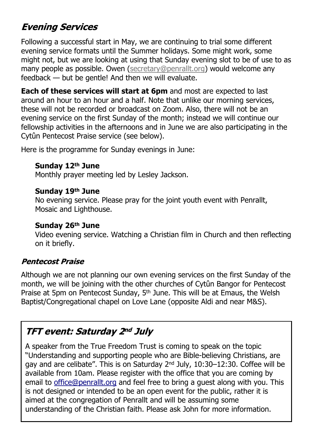## **Evening Services**

Following a successful start in May, we are continuing to trial some different evening service formats until the Summer holidays. Some might work, some might not, but we are looking at using that Sunday evening slot to be of use to as many people as possible. Owen ([secretary@penrallt.org\)](mailto:secretary@penrallt.org) would welcome any feedback — but be gentle! And then we will evaluate.

**Each of these services will start at 6pm** and most are expected to last around an hour to an hour and a half. Note that unlike our morning services, these will not be recorded or broadcast on Zoom. Also, there will not be an evening service on the first Sunday of the month; instead we will continue our fellowship activities in the afternoons and in June we are also participating in the Cytûn Pentecost Praise service (see below).

Here is the programme for Sunday evenings in June:

#### **Sunday 12th June**

Monthly prayer meeting led by Lesley Jackson.

#### **Sunday 19th June**

No evening service. Please pray for the joint youth event with Penrallt, Mosaic and Lighthouse.

#### **Sunday 26th June**

Video evening service. Watching a Christian film in Church and then reflecting on it briefly.

#### **Pentecost Praise**

Although we are not planning our own evening services on the first Sunday of the month, we will be joining with the other churches of Cytûn Bangor for Pentecost Praise at 5pm on Pentecost Sunday, 5<sup>th</sup> June. This will be at Emaus, the Welsh Baptist/Congregational chapel on Love Lane (opposite Aldi and near M&S).

### **TFT event: Saturday 2nd July**

A speaker from the True Freedom Trust is coming to speak on the topic "Understanding and supporting people who are Bible-believing Christians, are gay and are celibate". This is on Saturday 2nd July, 10:30–12:30. Coffee will be available from 10am. Please register with the office that you are coming by email to office@penrallt.org and feel free to bring a guest along with you. This is not designed or intended to be an open event for the public, rather it is aimed at the congregation of Penrallt and will be assuming some understanding of the Christian faith. Please ask John for more information.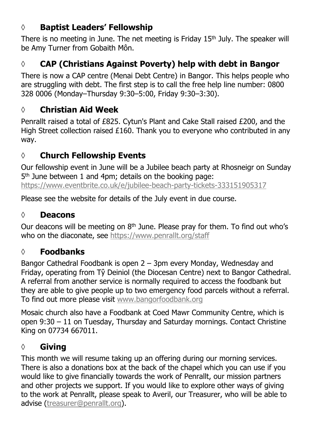### **◊ Baptist Leaders' Fellowship**

There is no meeting in June. The net meeting is Friday  $15<sup>th</sup>$  July. The speaker will be Amy Turner from Gobaith Môn.

## **◊ CAP (Christians Against Poverty) help with debt in Bangor**

There is now a CAP centre (Menai Debt Centre) in Bangor. This helps people who are struggling with debt. The first step is to call the free help line number: 0800 328 0006 (Monday–Thursday 9:30–5:00, Friday 9:30–3:30).

### **◊ Christian Aid Week**

Penrallt raised a total of £825. Cytun's Plant and Cake Stall raised £200, and the High Street collection raised £160. Thank you to everyone who contributed in any way.

### **◊ Church Fellowship Events**

Our fellowship event in June will be a Jubilee beach party at Rhosneigr on Sunday 5 th June between 1 and 4pm; details on the booking page: <https://www.eventbrite.co.uk/e/jubilee-beach-party-tickets-333151905317>

Please see the website for details of the July event in due course.

### **◊ Deacons**

Our deacons will be meeting on  $8<sup>th</sup>$  June. Please pray for them. To find out who's who on the diaconate, see [https://www.penrallt.org/staff](https://www.penrallt.org/staff/index.php)

### **◊ Foodbanks**

Bangor Cathedral Foodbank is open 2 – 3pm every Monday, Wednesday and Friday, operating from Tŷ Deiniol (the Diocesan Centre) next to Bangor Cathedral. A referral from another service is normally required to access the foodbank but they are able to give people up to two emergency food parcels without a referral. To find out more please visit [www.bangorfoodbank.org](https://www.bangorfoodbank.org)

Mosaic church also have a Foodbank at Coed Mawr Community Centre, which is open 9:30 – 11 on Tuesday, Thursday and Saturday mornings. Contact Christine King on 07734 667011.

### **◊ Giving**

This month we will resume taking up an offering during our morning services. There is also a donations box at the back of the chapel which you can use if you would like to give financially towards the work of Penrallt, our mission partners and other projects we support. If you would like to explore other ways of giving to the work at Penrallt, please speak to Averil, our Treasurer, who will be able to advise [\(treasurer@penrallt.org\)](mailto:treasurer@penrallt.org).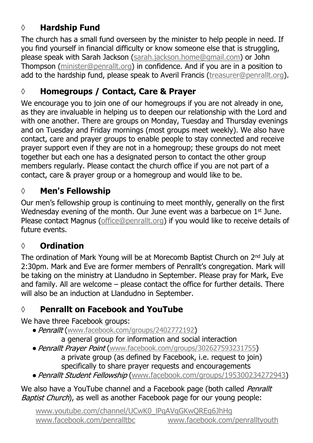## **◊ Hardship Fund**

The church has a small fund overseen by the minister to help people in need. If you find yourself in financial difficulty or know someone else that is struggling, please speak with Sarah Jackson ([sarah.jackson.home@gmail.com](mailto:sarah.jackson.home@gmail.com)) or John Thompson ([minister@penrallt.org\)](mailto:minister@penrallt.org) in confidence. And if you are in a position to add to the hardship fund, please speak to Averil Francis ([treasurer@penrallt.org\)](mailto:treasurer@penrallt.org).

### **◊ Homegroups / Contact, Care & Prayer**

We encourage you to join one of our homegroups if you are not already in one, as they are invaluable in helping us to deepen our relationship with the Lord and with one another. There are groups on Monday, Tuesday and Thursday evenings and on Tuesday and Friday mornings (most groups meet weekly). We also have contact, care and prayer groups to enable people to stay connected and receive prayer support even if they are not in a homegroup; these groups do not meet together but each one has a designated person to contact the other group members regularly. Please contact the church office if you are not part of a contact, care & prayer group or a homegroup and would like to be.

### **◊ Men's Fellowship**

Our men's fellowship group is continuing to meet monthly, generally on the first Wednesday evening of the month. Our June event was a barbecue on 1<sup>st</sup> June. Please contact Magnus ([office@penrallt.org\)](mailto:office@penrallt.org) if you would like to receive details of future events.

### **◊ Ordination**

The ordination of Mark Young will be at Morecomb Baptist Church on 2nd July at 2:30pm. Mark and Eve are former members of Penrallt's congregation. Mark will be taking on the ministry at Llandudno in September. Please pray for Mark, Eve and family. All are welcome – please contact the office for further details. There will also be an induction at Llandudno in September.

### **◊ Penrallt on Facebook and YouTube**

We have three Facebook groups:

• Penrallt ([www.facebook.com/groups/2402772192](https://www.facebook.com/groups/2402772192))

a general group for information and social interaction

- Penrallt Praver Point ([www.facebook.com/groups/302627593231755](https://www.facebook.com/groups/302627593231755)) a private group (as defined by Facebook, i.e. request to join) specifically to share prayer requests and encouragements
- Penrallt Student Fellowship ([www.facebook.com/groups/195300234272943](https://www.facebook.com/groups/195300234272943))

We also have a YouTube channel and a Facebook page (both called Penrallt Baptist Church), as well as another Facebook page for our young people: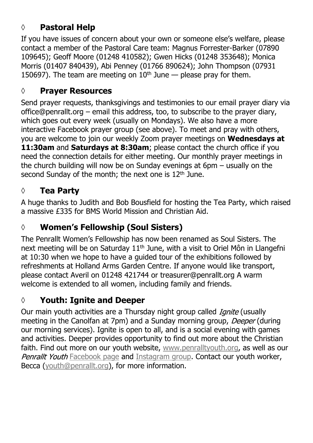### **◊ Pastoral Help**

If you have issues of concern about your own or someone else's welfare, please contact a member of the Pastoral Care team: Magnus Forrester-Barker (07890 109645); Geoff Moore (01248 410582); Gwen Hicks (01248 353648); Monica Morris (01407 840439), Abi Penney (01766 890624); John Thompson (07931 150697). The team are meeting on  $10<sup>th</sup>$  June — please pray for them.

#### **◊ Prayer Resources**

Send prayer requests, thanksgivings and testimonies to our email prayer diary via office@penrallt.org – email this address, too, to subscribe to the prayer diary, which goes out every week (usually on Mondays). We also have a more interactive Facebook prayer group (see above). To meet and pray with others, you are welcome to join our weekly Zoom prayer meetings on **Wednesdays at 11:30am** and **Saturdays at 8:30am**; please contact the church office if you need the connection details for either meeting. Our monthly prayer meetings in the church building will now be on Sunday evenings at 6pm – usually on the second Sunday of the month; the next one is  $12<sup>th</sup>$  June.

### **◊ Tea Party**

A huge thanks to Judith and Bob Bousfield for hosting the Tea Party, which raised a massive £335 for BMS World Mission and Christian Aid.

#### **◊ Women's Fellowship (Soul Sisters)**

The Penrallt Women's Fellowship has now been renamed as Soul Sisters. The next meeting will be on Saturday 11<sup>th</sup> June, with a visit to Oriel Môn in Llangefni at 10:30 when we hope to have a guided tour of the exhibitions followed by refreshments at Holland Arms Garden Centre. If anyone would like transport, please contact Averil on 01248 421744 or treasurer@penrallt.org A warm welcome is extended to all women, including family and friends.

### **◊ Youth: Ignite and Deeper**

Our main youth activities are a Thursday night group called *Ignite* (usually meeting in the Canolfan at 7pm) and a Sunday morning group, Deeper (during our morning services). Ignite is open to all, and is a social evening with games and activities. Deeper provides opportunity to find out more about the Christian faith. Find out more on our youth website, [www.penralltyouth.org,](https://www.penralltyouth.org/) as well as our Penrallt Youth [Facebook page](https://www.facebook.com/penralltyouth) and [Instagram group](https://www.instagram.com/penralltyouth/). Contact our youth worker, Becca ([youth@penrallt.org\)](mailto:youth@penrallt.org), for more information.